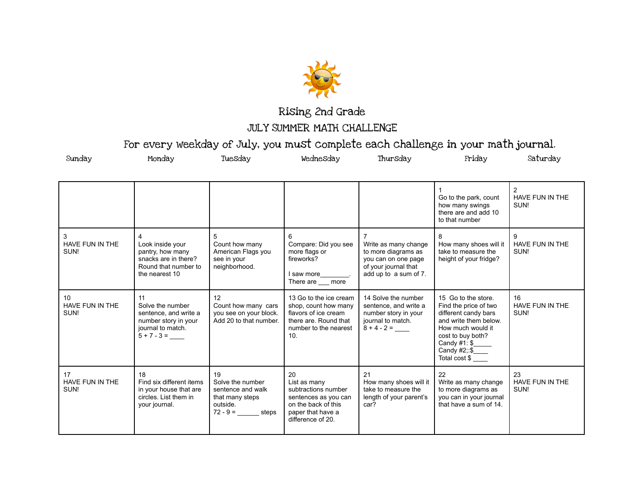

## Rising 2nd Grade JULY SUMMER MATH CHALLENGE

For every weekday of July, you must complete each challenge in your math journal.

| Sunday                        | Monday                                                                                                        | Tuesday                                                                                        | Wednesday                                                                                                                                   | Thursday                                                                                                            | Friday                                                                                                                                                                                    | Saturday                      |
|-------------------------------|---------------------------------------------------------------------------------------------------------------|------------------------------------------------------------------------------------------------|---------------------------------------------------------------------------------------------------------------------------------------------|---------------------------------------------------------------------------------------------------------------------|-------------------------------------------------------------------------------------------------------------------------------------------------------------------------------------------|-------------------------------|
|                               |                                                                                                               |                                                                                                |                                                                                                                                             |                                                                                                                     | Go to the park, count<br>how many swings<br>there are and add 10<br>to that number                                                                                                        | 2<br>HAVE FUN IN THE<br>SUN!  |
| 3<br>HAVE FUN IN THE<br>SUN!  | 4<br>Look inside your<br>pantry, how many<br>snacks are in there?<br>Round that number to<br>the nearest 10   | 5<br>Count how many<br>American Flags you<br>see in your<br>neighborhood.                      | 6<br>Compare: Did you see<br>more flags or<br>fireworks?<br>I saw more<br>There are more                                                    | Write as many change<br>to more diagrams as<br>you can on one page<br>of your journal that<br>add up to a sum of 7. | 8<br>How many shoes will it<br>take to measure the<br>height of your fridge?                                                                                                              | 9<br>HAVE FUN IN THE<br>SUN!  |
| 10<br>HAVE FUN IN THE<br>SUN! | 11<br>Solve the number<br>sentence, and write a<br>number story in your<br>journal to match.<br>$5 + 7 - 3 =$ | 12<br>Count how many cars<br>you see on your block.<br>Add 20 to that number.                  | 13 Go to the ice cream<br>shop, count how many<br>flavors of ice cream<br>there are. Round that<br>number to the nearest<br>10 <sub>1</sub> | 14 Solve the number<br>sentence, and write a<br>number story in your<br>journal to match.<br>$8 + 4 - 2 =$          | 15 Go to the store.<br>Find the price of two<br>different candy bars<br>and write them below.<br>How much would it<br>cost to buy both?<br>Candy $#1: $$<br>Candy #2;:\$<br>Total cost \$ | 16<br>HAVE FUN IN THE<br>SUN! |
| 17<br>HAVE FUN IN THE<br>SUN! | 18<br>Find six different items<br>in your house that are<br>circles. List them in<br>your journal.            | 19<br>Solve the number<br>sentence and walk<br>that many steps<br>outside.<br>$72 - 9 =$ steps | 20<br>List as many<br>subtractions number<br>sentences as you can<br>on the back of this<br>paper that have a<br>difference of 20.          | 21<br>How many shoes will it<br>take to measure the<br>length of your parent's<br>car?                              | 22<br>Write as many change<br>to more diagrams as<br>you can in your journal<br>that have a sum of 14.                                                                                    | 23<br>HAVE FUN IN THE<br>SUN! |